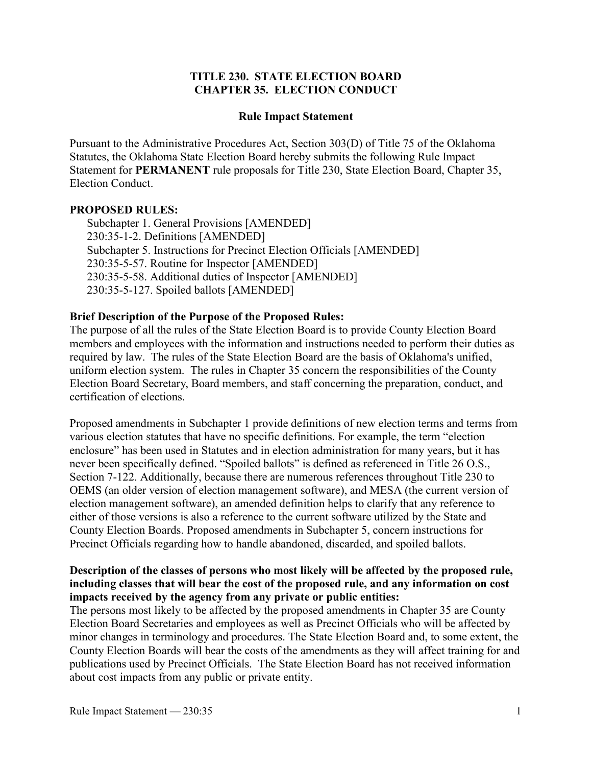## **TITLE 230. STATE ELECTION BOARD CHAPTER 35. ELECTION CONDUCT**

#### **Rule Impact Statement**

Pursuant to the Administrative Procedures Act, Section 303(D) of Title 75 of the Oklahoma Statutes, the Oklahoma State Election Board hereby submits the following Rule Impact Statement for **PERMANENT** rule proposals for Title 230, State Election Board, Chapter 35, Election Conduct.

#### **PROPOSED RULES:**

Subchapter 1. General Provisions [AMENDED] 230:35-1-2. Definitions [AMENDED] Subchapter 5. Instructions for Precinct Election Officials [AMENDED] 230:35-5-57. Routine for Inspector [AMENDED] 230:35-5-58. Additional duties of Inspector [AMENDED] 230:35-5-127. Spoiled ballots [AMENDED]

#### **Brief Description of the Purpose of the Proposed Rules:**

The purpose of all the rules of the State Election Board is to provide County Election Board members and employees with the information and instructions needed to perform their duties as required by law. The rules of the State Election Board are the basis of Oklahoma's unified, uniform election system. The rules in Chapter 35 concern the responsibilities of the County Election Board Secretary, Board members, and staff concerning the preparation, conduct, and certification of elections.

Proposed amendments in Subchapter 1 provide definitions of new election terms and terms from various election statutes that have no specific definitions. For example, the term "election enclosure" has been used in Statutes and in election administration for many years, but it has never been specifically defined. "Spoiled ballots" is defined as referenced in Title 26 O.S., Section 7-122. Additionally, because there are numerous references throughout Title 230 to OEMS (an older version of election management software), and MESA (the current version of election management software), an amended definition helps to clarify that any reference to either of those versions is also a reference to the current software utilized by the State and County Election Boards. Proposed amendments in Subchapter 5, concern instructions for Precinct Officials regarding how to handle abandoned, discarded, and spoiled ballots.

## **Description of the classes of persons who most likely will be affected by the proposed rule, including classes that will bear the cost of the proposed rule, and any information on cost impacts received by the agency from any private or public entities:**

The persons most likely to be affected by the proposed amendments in Chapter 35 are County Election Board Secretaries and employees as well as Precinct Officials who will be affected by minor changes in terminology and procedures. The State Election Board and, to some extent, the County Election Boards will bear the costs of the amendments as they will affect training for and publications used by Precinct Officials. The State Election Board has not received information about cost impacts from any public or private entity.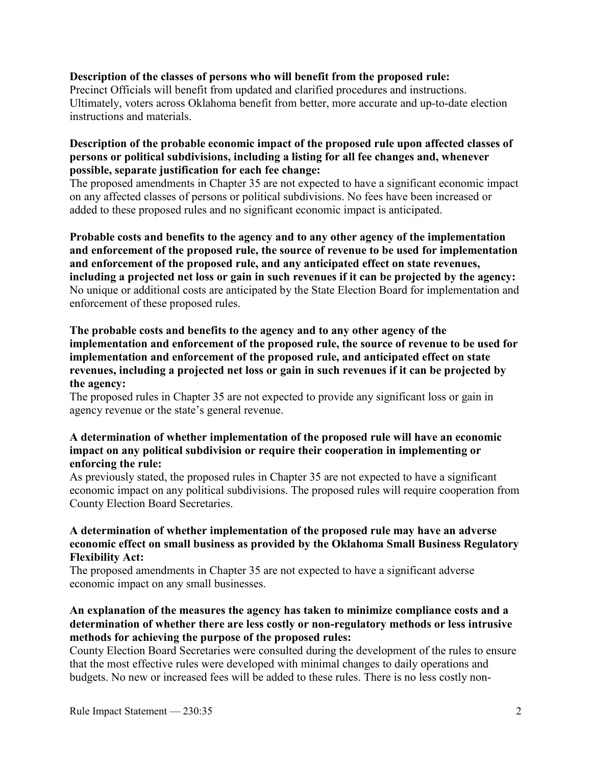#### **Description of the classes of persons who will benefit from the proposed rule:**

Precinct Officials will benefit from updated and clarified procedures and instructions. Ultimately, voters across Oklahoma benefit from better, more accurate and up-to-date election instructions and materials.

### **Description of the probable economic impact of the proposed rule upon affected classes of persons or political subdivisions, including a listing for all fee changes and, whenever possible, separate justification for each fee change:**

The proposed amendments in Chapter 35 are not expected to have a significant economic impact on any affected classes of persons or political subdivisions. No fees have been increased or added to these proposed rules and no significant economic impact is anticipated.

**Probable costs and benefits to the agency and to any other agency of the implementation and enforcement of the proposed rule, the source of revenue to be used for implementation and enforcement of the proposed rule, and any anticipated effect on state revenues, including a projected net loss or gain in such revenues if it can be projected by the agency:** No unique or additional costs are anticipated by the State Election Board for implementation and enforcement of these proposed rules.

# **The probable costs and benefits to the agency and to any other agency of the implementation and enforcement of the proposed rule, the source of revenue to be used for implementation and enforcement of the proposed rule, and anticipated effect on state revenues, including a projected net loss or gain in such revenues if it can be projected by the agency:**

The proposed rules in Chapter 35 are not expected to provide any significant loss or gain in agency revenue or the state's general revenue.

## **A determination of whether implementation of the proposed rule will have an economic impact on any political subdivision or require their cooperation in implementing or enforcing the rule:**

As previously stated, the proposed rules in Chapter 35 are not expected to have a significant economic impact on any political subdivisions. The proposed rules will require cooperation from County Election Board Secretaries.

## **A determination of whether implementation of the proposed rule may have an adverse economic effect on small business as provided by the Oklahoma Small Business Regulatory Flexibility Act:**

The proposed amendments in Chapter 35 are not expected to have a significant adverse economic impact on any small businesses.

## **An explanation of the measures the agency has taken to minimize compliance costs and a determination of whether there are less costly or non-regulatory methods or less intrusive methods for achieving the purpose of the proposed rules:**

County Election Board Secretaries were consulted during the development of the rules to ensure that the most effective rules were developed with minimal changes to daily operations and budgets. No new or increased fees will be added to these rules. There is no less costly non